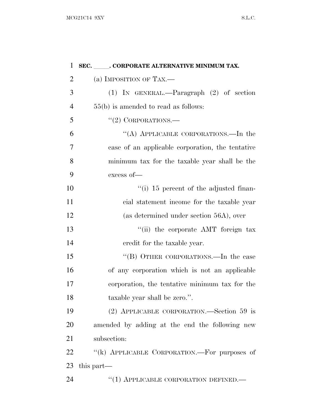| 1              | SEC. ____. CORPORATE ALTERNATIVE MINIMUM TAX.    |
|----------------|--------------------------------------------------|
| $\overline{2}$ | (a) IMPOSITION OF TAX.—                          |
| 3              | $(1)$ IN GENERAL.—Paragraph $(2)$ of section     |
| $\overline{4}$ | $55(b)$ is amended to read as follows:           |
| 5              | $``(2)$ CORPORATIONS.—                           |
| 6              | "(A) APPLICABLE CORPORATIONS.—In the             |
| 7              | case of an applicable corporation, the tentative |
| 8              | minimum tax for the taxable year shall be the    |
| 9              | excess of-                                       |
| 10             | "(i) 15 percent of the adjusted finan-           |
| 11             | cial statement income for the taxable year       |
| 12             | (as determined under section 56A), over          |
| 13             | "(ii) the corporate AMT foreign tax              |
| 14             | credit for the taxable year.                     |
| 15             | "(B) OTHER CORPORATIONS.—In the case             |
| 16             | of any corporation which is not an applicable    |
| 17             | corporation, the tentative minimum tax for the   |
| 18             | taxable year shall be zero.".                    |
| 19             | (2) APPLICABLE CORPORATION.—Section 59 is        |
| 20             | amended by adding at the end the following new   |
| 21             | subsection:                                      |
| 22             | "(k) APPLICABLE CORPORATION.—For purposes of     |
| 23             | this part—                                       |
| 24             | "(1) APPLICABLE CORPORATION DEFINED.—            |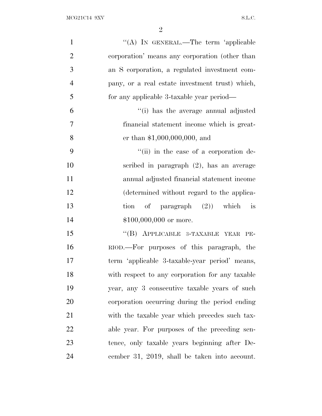| $\mathbf{1}$   | "(A) IN GENERAL.—The term 'applicable           |
|----------------|-------------------------------------------------|
| $\overline{2}$ | corporation' means any corporation (other than  |
| 3              | an S corporation, a regulated investment com-   |
| $\overline{4}$ | pany, or a real estate investment trust) which, |
| 5              | for any applicable 3-taxable year period—       |
| 6              | "(i) has the average annual adjusted            |
| $\overline{7}$ | financial statement income which is great-      |
| 8              | er than $$1,000,000,000,$ and                   |
| 9              | "(ii) in the case of a corporation de-          |
| 10             | scribed in paragraph $(2)$ , has an average     |
| 11             | annual adjusted financial statement income      |
| 12             | (determined without regard to the applica-      |
| 13             | tion of paragraph $(2)$ ) which is              |
| 14             | $$100,000,000$ or more.                         |
| 15             | "(B) APPLICABLE 3-TAXABLE YEAR PE-              |
| 16             | RIOD.—For purposes of this paragraph, the       |
| 17             | term 'applicable 3-taxable-year period' means,  |
| 18             | with respect to any corporation for any taxable |
| 19             | year, any 3 consecutive taxable years of such   |
| 20             | corporation occurring during the period ending  |
| 21             | with the taxable year which precedes such tax-  |
| 22             | able year. For purposes of the preceding sen-   |
| 23             | tence, only taxable years beginning after De-   |
| 24             | cember 31, 2019, shall be taken into account.   |
|                |                                                 |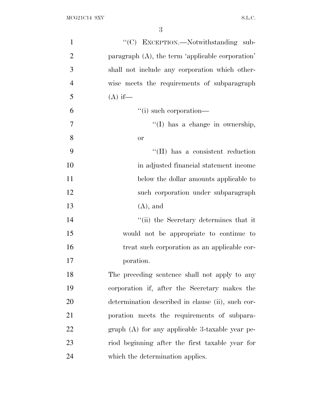| $\mathbf{1}$   | "(C) EXCEPTION.—Notwithstanding sub-              |
|----------------|---------------------------------------------------|
| $\overline{2}$ | paragraph (A), the term 'applicable corporation'  |
| 3              | shall not include any corporation which other-    |
| $\overline{4}$ | wise meets the requirements of subparagraph       |
| 5              | $(A)$ if—                                         |
| 6              | "(i) such corporation—                            |
| 7              | "(I) has a change in ownership,                   |
| 8              | <b>or</b>                                         |
| 9              | "(II) has a consistent reduction                  |
| 10             | in adjusted financial statement income            |
| 11             | below the dollar amounts applicable to            |
| 12             | such corporation under subparagraph               |
| 13             | $(A)$ , and                                       |
| 14             | "(ii) the Secretary determines that it            |
| 15             | would not be appropriate to continue to           |
| 16             | treat such corporation as an applicable cor-      |
| 17             | poration.                                         |
| 18             | The preceding sentence shall not apply to any     |
| 19             | corporation if, after the Secretary makes the     |
| 20             | determination described in clause (ii), such cor- |
| 21             | poration meets the requirements of subpara-       |
| 22             | graph $(A)$ for any applicable 3-taxable year pe- |
| 23             | riod beginning after the first taxable year for   |
| 24             | which the determination applies.                  |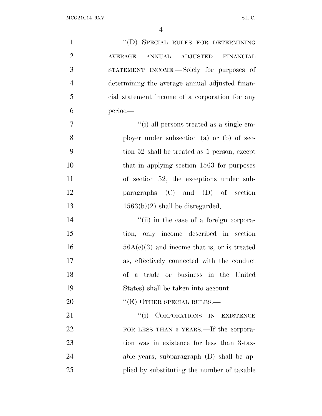| $\mathbf{1}$   | "(D) SPECIAL RULES FOR DETERMINING             |
|----------------|------------------------------------------------|
| $\overline{2}$ | ANNUAL ADJUSTED FINANCIAL<br><b>AVERAGE</b>    |
| 3              | STATEMENT INCOME.—Solely for purposes of       |
| $\overline{4}$ | determining the average annual adjusted finan- |
| 5              | cial statement income of a corporation for any |
| 6              | period-                                        |
| $\overline{7}$ | "(i) all persons treated as a single em-       |
| 8              | ployer under subsection (a) or (b) of sec-     |
| 9              | tion 52 shall be treated as 1 person, except   |
| 10             | that in applying section 1563 for purposes     |
| 11             | of section 52, the exceptions under sub-       |
| 12             | paragraphs $(C)$ and $(D)$ of section          |
| 13             | $1563(b)(2)$ shall be disregarded,             |
| 14             | "(ii) in the case of a foreign corpora-        |
| 15             | tion, only income described in section         |
| 16             | $56A(c)(3)$ and income that is, or is treated  |
| 17             | as, effectively connected with the conduct     |
| 18             | of a trade or business in the United           |
| 19             | States) shall be taken into account.           |
| 20             | $``(E)$ OTHER SPECIAL RULES.—                  |
| 21             | "(i) CORPORATIONS IN EXISTENCE                 |
| 22             | FOR LESS THAN 3 YEARS.—If the corpora-         |
| 23             | tion was in existence for less than 3-tax-     |
| 24             | able years, subparagraph (B) shall be ap-      |
| 25             | plied by substituting the number of taxable    |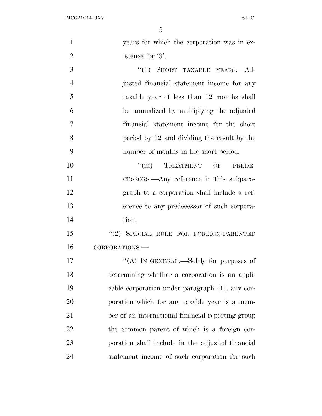| $\mathbf{1}$   | years for which the corporation was in ex-        |
|----------------|---------------------------------------------------|
| $\overline{2}$ | istence for '3'.                                  |
| 3              | "(ii) SHORT TAXABLE YEARS.—Ad-                    |
| $\overline{4}$ | justed financial statement income for any         |
| 5              | taxable year of less than 12 months shall         |
| 6              | be annualized by multiplying the adjusted         |
| $\overline{7}$ | financial statement income for the short          |
| 8              | period by 12 and dividing the result by the       |
| 9              | number of months in the short period.             |
| 10             | ``(iii)<br>TREATMENT OF<br>PREDE-                 |
| 11             | CESSORS.—Any reference in this subpara-           |
| 12             | graph to a corporation shall include a ref-       |
| 13             | erence to any predecessor of such corpora-        |
| 14             | tion.                                             |
| 15             | "(2) SPECIAL RULE FOR FOREIGN-PARENTED            |
| 16             | CORPORATIONS.                                     |
| 17             | "(A) IN GENERAL.—Solely for purposes of           |
| 18             | determining whether a corporation is an appli-    |
| 19             | cable corporation under paragraph (1), any cor-   |
| 20             | poration which for any taxable year is a mem-     |
| 21             | ber of an international financial reporting group |
| 22             | the common parent of which is a foreign cor-      |
| 23             | poration shall include in the adjusted financial  |
| 24             | statement income of such corporation for such     |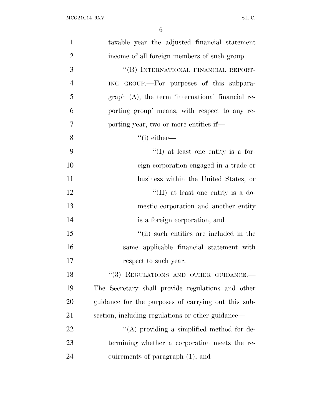| $\mathbf{1}$   | taxable year the adjusted financial statement       |
|----------------|-----------------------------------------------------|
| $\overline{2}$ | income of all foreign members of such group.        |
| 3              | "(B) INTERNATIONAL FINANCIAL REPORT-                |
| $\overline{4}$ | ING GROUP.—For purposes of this subpara-            |
| 5              | $graph(A)$ , the term 'international financial re-  |
| 6              | porting group' means, with respect to any re-       |
| 7              | porting year, two or more entities if—              |
| 8              | $``(i)$ either—                                     |
| 9              | $\lq\lq$ (I) at least one entity is a for-          |
| 10             | eign corporation engaged in a trade or              |
| 11             | business within the United States, or               |
| 12             | "(II) at least one entity is a do-                  |
| 13             | mestic corporation and another entity               |
| 14             | is a foreign corporation, and                       |
| 15             | "(ii) such entities are included in the             |
| 16             | same applicable financial statement with            |
| 17             | respect to such year.                               |
| 18             | "(3) REGULATIONS AND OTHER GUIDANCE.-               |
| 19             | The Secretary shall provide regulations and other   |
| 20             | guidance for the purposes of carrying out this sub- |
| 21             | section, including regulations or other guidance—   |
| 22             | "(A) providing a simplified method for de-          |
| 23             | termining whether a corporation meets the re-       |
| 24             | quirements of paragraph (1), and                    |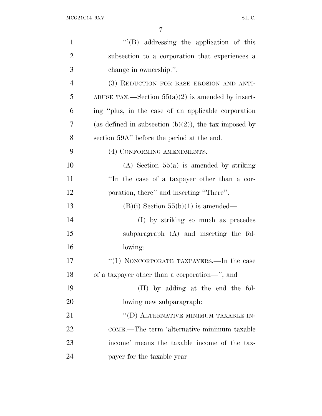| $\mathbf{1}$   | $\mathcal{L}(B)$ addressing the application of this      |
|----------------|----------------------------------------------------------|
| $\overline{2}$ | subsection to a corporation that experiences a           |
| 3              | change in ownership.".                                   |
| $\overline{4}$ | (3) REDUCTION FOR BASE EROSION AND ANTI-                 |
| 5              | ABUSE TAX.—Section $55(a)(2)$ is amended by insert-      |
| 6              | ing "plus, in the case of an applicable corporation      |
| $\overline{7}$ | (as defined in subsection $(b)(2)$ ), the tax imposed by |
| 8              | section 59A" before the period at the end.               |
| 9              | (4) CONFORMING AMENDMENTS.-                              |
| 10             | $(A)$ Section 55(a) is amended by striking               |
| 11             | "In the case of a taxpayer other than a cor-             |
| 12             | poration, there" and inserting "There".                  |
| 13             | $(B)(i)$ Section 55 $(b)(1)$ is amended—                 |
| 14             | (I) by striking so much as precedes                      |
| 15             | subparagraph (A) and inserting the fol-                  |
| 16             | lowing:                                                  |
| 17             | " $(1)$ NONCORPORATE TAXPAYERS.—In the case              |
| 18             | of a taxpayer other than a corporation-", and            |
| 19             | (II) by adding at the end the fol-                       |
| 20             | lowing new subparagraph.                                 |
| 21             | "(D) ALTERNATIVE MINIMUM TAXABLE IN-                     |
| 22             | COME.—The term 'alternative minimum taxable              |
| 23             | income' means the taxable income of the tax-             |
| 24             | payer for the taxable year—                              |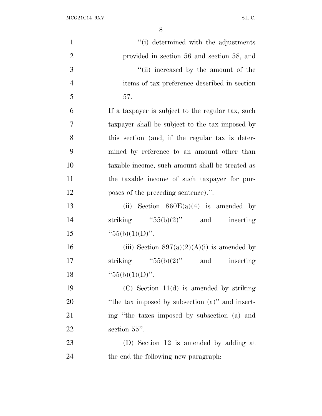$\begin{minipage}{.4\linewidth} \textbf{MCG21C14 } 9 \textbf{XV} \end{minipage}$ 

| $\mathbf{1}$   | "(i) determined with the adjustments              |
|----------------|---------------------------------------------------|
| $\overline{2}$ | provided in section 56 and section 58, and        |
| 3              | "(ii) increased by the amount of the              |
| $\overline{4}$ | items of tax preference described in section      |
| 5              | 57.                                               |
| 6              | If a taxpayer is subject to the regular tax, such |
| 7              | taxpayer shall be subject to the tax imposed by   |
| 8              | this section (and, if the regular tax is deter-   |
| 9              | mined by reference to an amount other than        |
| 10             | taxable income, such amount shall be treated as   |
| 11             | the taxable income of such taxpayer for pur-      |
| 12             | poses of the preceding sentence).".               |
| 13             | (ii) Section $860E(a)(4)$ is amended by           |
| 14             | striking $"55(b)(2)"$ and inserting               |
| 15             | " $55(b)(1)(D)$ ".                                |
| 16             | (iii) Section $897(a)(2)(A)(i)$ is amended by     |
| 17             | striking " $55(b)(2)$ " and<br>inserting          |
| 18             | " $55(b)(1)(D)$ ".                                |
| 19             | $(C)$ Section 11(d) is amended by striking        |
| 20             | "the tax imposed by subsection (a)" and insert-   |
| 21             | ing "the taxes imposed by subsection (a) and      |
| 22             | section $55$ ".                                   |
| 23             | (D) Section 12 is amended by adding at            |
| 24             | the end the following new paragraph:              |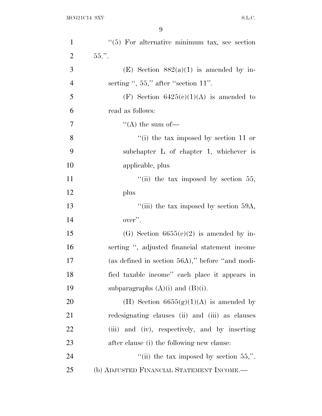| $\mathbf{1}$   | $\lq(5)$ For alternative minimum tax, see section |
|----------------|---------------------------------------------------|
| $\overline{2}$ | $55.$ ".                                          |
| 3              | (E) Section $882(a)(1)$ is amended by in-         |
| $\overline{4}$ | serting ", $55$ ," after "section $11$ ".         |
| 5              | (F) Section $6425(c)(1)(A)$ is amended to         |
| 6              | read as follows:                                  |
| 7              | "(A) the sum of $-$                               |
| 8              | "(i) the tax imposed by section 11 or             |
| 9              | subchapter $L$ of chapter 1, whichever is         |
| 10             | applicable, plus                                  |
| 11             | "(ii) the tax imposed by section $55$ ,           |
| 12             | plus                                              |
| 13             | "(iii) the tax imposed by section $59A$ ,         |
| 14             | over".                                            |
| 15             | (G) Section $6655(e)(2)$ is amended by in-        |
| 16             | serting ", adjusted financial statement income    |
| 17             | (as defined in section 56A)," before "and modi-   |
| 18             | fied taxable income" each place it appears in     |
| 19             | subparagraphs $(A)(i)$ and $(B)(i)$ .             |
| 20             | (H) Section $6655(g)(1)(A)$ is amended by         |
| 21             | redesignating clauses (ii) and (iii) as clauses   |
| 22             | (iii) and (iv), respectively, and by inserting    |
| 23             | after clause (i) the following new clause:        |
| 24             | "(ii) the tax imposed by section $55$ ,".         |
| 25             | (b) ADJUSTED FINANCIAL STATEMENT INCOME.—         |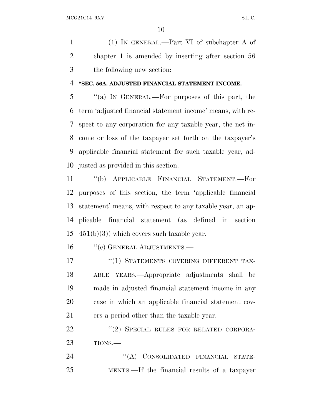(1) IN GENERAL.—Part VI of subchapter A of chapter 1 is amended by inserting after section 56 the following new section:

## **''SEC. 56A. ADJUSTED FINANCIAL STATEMENT INCOME.**

 ''(a) I<sup>N</sup> GENERAL.—For purposes of this part, the term 'adjusted financial statement income' means, with re- spect to any corporation for any taxable year, the net in- come or loss of the taxpayer set forth on the taxpayer's applicable financial statement for such taxable year, ad-justed as provided in this section.

 ''(b) APPLICABLE FINANCIAL STATEMENT.—For purposes of this section, the term 'applicable financial statement' means, with respect to any taxable year, an ap- plicable financial statement (as defined in section  $451(b)(3)$ ) which covers such taxable year.

16 "(c) GENERAL ADJUSTMENTS.—

17 <sup>''</sup>(1) STATEMENTS COVERING DIFFERENT TAX- ABLE YEARS.—Appropriate adjustments shall be made in adjusted financial statement income in any case in which an applicable financial statement cov-ers a period other than the taxable year.

22 "(2) SPECIAL RULES FOR RELATED CORPORA-TIONS.—

24 "(A) CONSOLIDATED FINANCIAL STATE-MENTS.—If the financial results of a taxpayer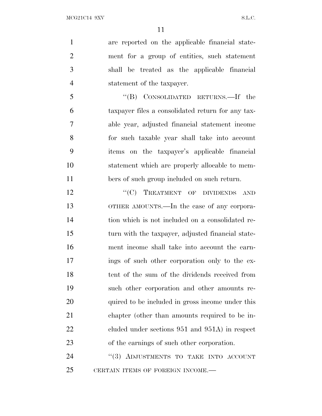are reported on the applicable financial state- ment for a group of entities, such statement shall be treated as the applicable financial statement of the taxpayer.

 ''(B) CONSOLIDATED RETURNS.—If the taxpayer files a consolidated return for any tax- able year, adjusted financial statement income for such taxable year shall take into account items on the taxpayer's applicable financial statement which are properly allocable to mem-bers of such group included on such return.

12 "'(C) TREATMENT OF DIVIDENDS AND OTHER AMOUNTS.—In the case of any corpora- tion which is not included on a consolidated re- turn with the taxpayer, adjusted financial state- ment income shall take into account the earn- ings of such other corporation only to the ex- tent of the sum of the dividends received from such other corporation and other amounts re-20 quired to be included in gross income under this chapter (other than amounts required to be in-22 cluded under sections 951 and 951A) in respect of the earnings of such other corporation.

24 "(3) ADJUSTMENTS TO TAKE INTO ACCOUNT 25 CERTAIN ITEMS OF FOREIGN INCOME.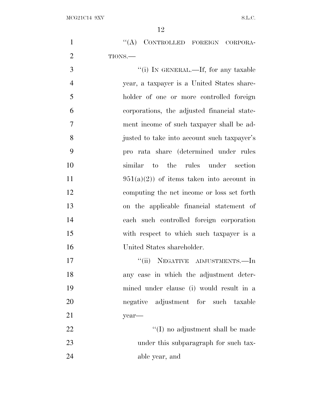|         | "(A) CONTROLLED FOREIGN CORPORA- |  |
|---------|----------------------------------|--|
| TIONS.— |                                  |  |

 $\frac{1}{1}$  In GENERAL.—If, for any taxable year, a taxpayer is a United States share- holder of one or more controlled foreign corporations, the adjusted financial state- ment income of such taxpayer shall be ad- justed to take into account such taxpayer's pro rata share (determined under rules similar to the rules under section  $951(a)(2)$  of items taken into account in computing the net income or loss set forth on the applicable financial statement of each such controlled foreign corporation with respect to which such taxpayer is a United States shareholder.

17  $"$ (ii) NEGATIVE ADJUSTMENTS.—In any case in which the adjustment deter- mined under clause (i) would result in a negative adjustment for such taxable year— 22 ''(I) no adjustment shall be made 23 under this subparagraph for such tax-

able year, and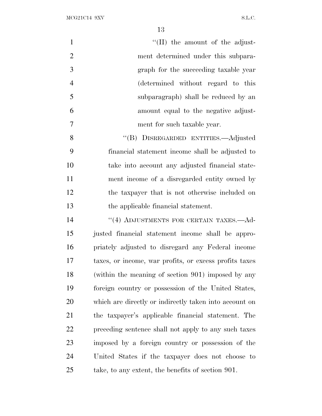| $\mathbf{1}$   | $\lq\lq$ (II) the amount of the adjust-                |
|----------------|--------------------------------------------------------|
| $\overline{2}$ | ment determined under this subpara-                    |
| 3              | graph for the succeeding taxable year                  |
| $\overline{4}$ | (determined without regard to this                     |
| 5              | subparagraph) shall be reduced by an                   |
| 6              | amount equal to the negative adjust-                   |
| $\tau$         | ment for such taxable year.                            |
| 8              | "(B) DISREGARDED ENTITIES.—Adjusted                    |
| 9              | financial statement income shall be adjusted to        |
| 10             | take into account any adjusted financial state-        |
| 11             | ment income of a disregarded entity owned by           |
| 12             | the taxpayer that is not otherwise included on         |
| 13             | the applicable financial statement.                    |
| 14             | "(4) ADJUSTMENTS FOR CERTAIN TAXES.-Ad-                |
| 15             | justed financial statement income shall be appro-      |
| 16             | priately adjusted to disregard any Federal income      |
| 17             | taxes, or income, war profits, or excess profits taxes |
| 18             | (within the meaning of section 901) imposed by any     |
| 19             | foreign country or possession of the United States,    |
| 20             | which are directly or indirectly taken into account on |
| 21             | the taxpayer's applicable financial statement. The     |
| 22             | preceding sentence shall not apply to any such taxes   |
|                |                                                        |

 imposed by a foreign country or possession of the United States if the taxpayer does not choose to take, to any extent, the benefits of section 901.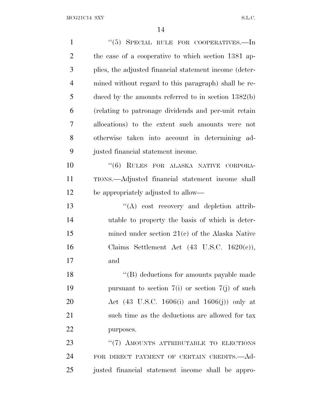| $\mathbf{1}$   | " $(5)$ SPECIAL RULE FOR COOPERATIVES.—In                       |
|----------------|-----------------------------------------------------------------|
| $\overline{2}$ | the case of a cooperative to which section 1381 ap-             |
| 3              | plies, the adjusted financial statement income (deter-          |
| $\overline{4}$ | mined without regard to this paragraph) shall be re-            |
| 5              | duced by the amounts referred to in section $1382(b)$           |
| 6              | (relating to patronage dividends and per-unit retain            |
| 7              | allocations) to the extent such amounts were not                |
| 8              | otherwise taken into account in determining ad-                 |
| 9              | justed financial statement income.                              |
| 10             | "(6) RULES FOR ALASKA NATIVE CORPORA-                           |
| 11             | TIONS.—Adjusted financial statement income shall                |
| 12             | be appropriately adjusted to allow—                             |
| 13             | $\lq\lq$ cost recovery and depletion attrib-                    |
| 14             | utable to property the basis of which is deter-                 |
| 15             | mined under section $21(c)$ of the Alaska Native                |
| 16             | Claims Settlement Act $(43 \text{ U.S.C. } 1620(c)),$           |
| 17             | and                                                             |
| 18             | "(B) deductions for amounts payable made                        |
| 19             | pursuant to section $7(i)$ or section $7(j)$ of such            |
| 20             | Act $(43 \text{ U.S.C. } 1606(i) \text{ and } 1606(j))$ only at |
| 21             | such time as the deductions are allowed for tax                 |
| 22             | purposes.                                                       |
| 23             | "(7) AMOUNTS ATTRIBUTABLE TO ELECTIONS                          |
| 24             | FOR DIRECT PAYMENT OF CERTAIN CREDITS. — Ad-                    |
| 25             | justed financial statement income shall be appro-               |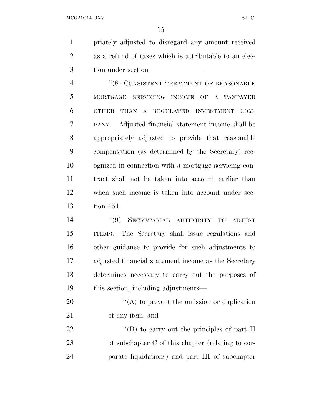priately adjusted to disregard any amount received as a refund of taxes which is attributable to an elec-3 tion under section and contact the section of  $\sim$ 

4 "(8) CONSISTENT TREATMENT OF REASONABLE MORTGAGE SERVICING INCOME OF A TAXPAYER OTHER THAN A REGULATED INVESTMENT COM- PANY.—Adjusted financial statement income shall be appropriately adjusted to provide that reasonable compensation (as determined by the Secretary) rec- ognized in connection with a mortgage servicing con- tract shall not be taken into account earlier than when such income is taken into account under sec-tion 451.

 ''(9) SECRETARIAL AUTHORITY TO ADJUST ITEMS.—The Secretary shall issue regulations and other guidance to provide for such adjustments to adjusted financial statement income as the Secretary determines necessary to carry out the purposes of this section, including adjustments—

 $^4$ (A) to prevent the omission or duplication of any item, and

22  $\langle$  (B) to carry out the principles of part II of subchapter C of this chapter (relating to cor-porate liquidations) and part III of subchapter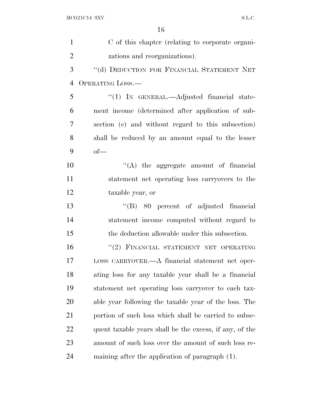| $\mathbf{1}$   | C of this chapter (relating to corporate organi-        |
|----------------|---------------------------------------------------------|
| $\overline{2}$ | zations and reorganizations).                           |
| 3              | "(d) DEDUCTION FOR FINANCIAL STATEMENT NET              |
| $\overline{4}$ | OPERATING LOSS.—                                        |
| 5              | $\lq(1)$ In GENERAL.—Adjusted financial state-          |
| 6              | ment income (determined after application of sub-       |
| 7              | section (c) and without regard to this subsection)      |
| 8              | shall be reduced by an amount equal to the lesser       |
| 9              | $of-$                                                   |
| 10             | $\lq\lq$ the aggregate amount of financial              |
| 11             | statement net operating loss carryovers to the          |
| 12             | taxable year, or                                        |
| 13             | $\lq\lq(B)$ 80 percent of adjusted financial            |
| 14             | statement income computed without regard to             |
| 15             | the deduction allowable under this subsection.          |
| 16             | "(2) FINANCIAL STATEMENT NET OPERATING                  |
| 17             | LOSS CARRYOVER.—A financial statement net oper-         |
| 18             | ating loss for any taxable year shall be a financial    |
| 19             | statement net operating loss carryover to each tax-     |
| 20             | able year following the taxable year of the loss. The   |
| 21             | portion of such loss which shall be carried to subse-   |
| 22             | quent taxable years shall be the excess, if any, of the |
| 23             | amount of such loss over the amount of such loss re-    |
| 24             | maining after the application of paragraph (1).         |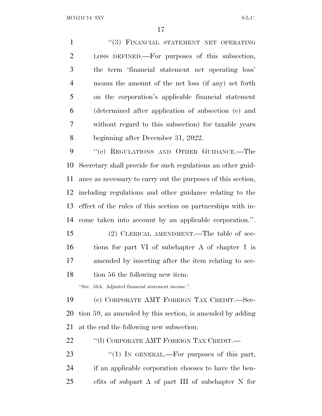1 "(3) FINANCIAL STATEMENT NET OPERATING LOSS DEFINED.—For purposes of this subsection, the term 'financial statement net operating loss' means the amount of the net loss (if any) set forth on the corporation's applicable financial statement (determined after application of subsection (c) and without regard to this subsection) for taxable years beginning after December 31, 2022. 9 " (e) REGULATIONS AND OTHER GUIDANCE.—The

 Secretary shall provide for such regulations an other guid- ance as necessary to carry out the purposes of this section, including regulations and other guidance relating to the effect of the rules of this section on partnerships with in-come taken into account by an applicable corporation.''.

 (2) CLERICAL AMENDMENT.—The table of sec- tions for part VI of subchapter A of chapter 1 is amended by inserting after the item relating to sec-tion 56 the following new item:

''Sec. 56A. Adjusted financial statement income.''.

 (c) CORPORATE AMT FOREIGN TAX CREDIT.—Sec- tion 59, as amended by this section, is amended by adding at the end the following new subsection:

22 "(1) CORPORATE AMT FOREIGN TAX CREDIT.—

23 "(1) IN GENERAL.—For purposes of this part, if an applicable corporation chooses to have the ben-efits of subpart A of part III of subchapter N for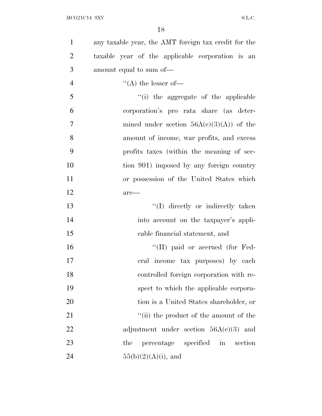| $\mathbf{1}$   | any taxable year, the AMT foreign tax credit for the |
|----------------|------------------------------------------------------|
| $\overline{2}$ | taxable year of the applicable corporation is an     |
| 3              | amount equal to sum of—                              |
| $\overline{4}$ | $\lq\lq$ the lesser of —                             |
| 5              | "(i) the aggregate of the applicable                 |
| 6              | corporation's pro rata share (as deter-              |
| $\tau$         | mined under section $56A(c)(3)(A)$ of the            |
| 8              | amount of income, war profits, and excess            |
| 9              | profits taxes (within the meaning of sec-            |
| 10             | tion 901) imposed by any foreign country             |
| 11             | or possession of the United States which             |
| 12             | $are-$                                               |
| 13             | "(I) directly or indirectly taken                    |
| 14             | into account on the taxpayer's appli-                |
| 15             | cable financial statement, and                       |
| 16             | $\lq\lq$ (II) paid or accrued (for Fed-              |
| 17             | eral income tax purposes) by each                    |
| 18             | controlled foreign corporation with re-              |
| 19             | spect to which the applicable corpora-               |
| 20             | tion is a United States shareholder, or              |
| 21             | "(ii) the product of the amount of the               |
| 22             | adjustment under section $56A(c)(3)$ and             |
| 23             | percentage specified in<br>section<br>the            |
| 24             | $55(b)(2)(A)(i)$ , and                               |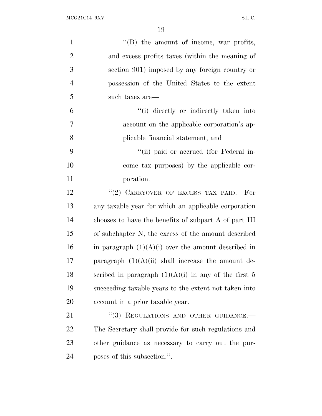| $\mathbf{1}$   | $\lq\lq (B)$ the amount of income, war profits,        |
|----------------|--------------------------------------------------------|
| $\overline{2}$ | and excess profits taxes (within the meaning of        |
| 3              | section 901) imposed by any foreign country or         |
| 4              | possession of the United States to the extent          |
| 5              | such taxes are—                                        |
| 6              | "(i) directly or indirectly taken into                 |
| 7              | account on the applicable corporation's ap-            |
| 8              | plicable financial statement, and                      |
| 9              | "(ii) paid or accrued (for Federal in-                 |
| 10             | come tax purposes) by the applicable cor-              |
| 11             | poration.                                              |
| 12             | "(2) CARRYOVER OF EXCESS TAX PAID. $-$ For             |
| 13             | any taxable year for which an applicable corporation   |
| 14             | chooses to have the benefits of subpart A of part III  |
| 15             | of subchapter N, the excess of the amount described    |
| 16             | in paragraph $(1)(A)(i)$ over the amount described in  |
| 17             | paragraph $(1)(A)(ii)$ shall increase the amount de-   |
| 18             | scribed in paragraph $(1)(A)(i)$ in any of the first 5 |
| 19             | succeeding taxable years to the extent not taken into  |
| 20             | account in a prior taxable year.                       |
| 21             | "(3) REGULATIONS AND OTHER GUIDANCE.-                  |
| 22             | The Secretary shall provide for such regulations and   |
| 23             | other guidance as necessary to carry out the pur-      |
| 24             | poses of this subsection.".                            |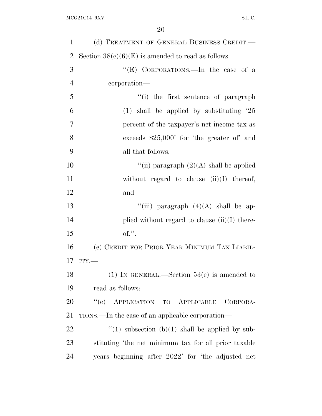| $\mathbf{1}$   | (d) TREATMENT OF GENERAL BUSINESS CREDIT.—           |
|----------------|------------------------------------------------------|
| $\overline{2}$ | Section $38(c)(6)(E)$ is amended to read as follows: |
| 3              | "(E) CORPORATIONS.—In the case of a                  |
| $\overline{4}$ | corporation—                                         |
| 5              | "(i) the first sentence of paragraph                 |
| 6              | $(1)$ shall be applied by substituting $25$          |
| 7              | percent of the taxpayer's net income tax as          |
| 8              | exceeds $$25,000'$ for 'the greater of' and          |
| 9              | all that follows,                                    |
| 10             | "(ii) paragraph $(2)(A)$ shall be applied            |
| 11             | without regard to clause $(ii)(I)$ thereof,          |
| 12             | and                                                  |
| 13             | "(iii) paragraph $(4)(A)$ shall be ap-               |
| 14             | plied without regard to clause $(ii)(I)$ there-      |
| 15             | $of.$ ".                                             |
| 16             | (e) CREDIT FOR PRIOR YEAR MINIMUM TAX LIABIL-        |
| 17             | ITY.                                                 |
| 18             | (1) IN GENERAL.—Section $53(e)$ is amended to        |
| 19             | read as follows:                                     |
| 20             | "(e) APPLICATION TO APPLICABLE<br>CORPORA-           |
| 21             | TIONS.—In the case of an applicable corporation—     |
| <u>22</u>      | "(1) subsection (b)(1) shall be applied by sub-      |
| 23             | stituting 'the net minimum tax for all prior taxable |
| 24             | years beginning after 2022' for 'the adjusted net    |